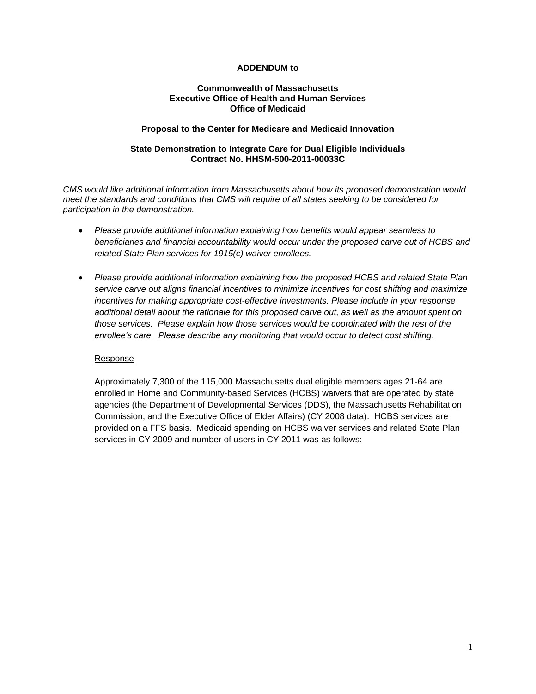#### **ADDENDUM to**

#### **Commonwealth of Massachusetts Executive Office of Health and Human Services Office of Medicaid**

#### **Proposal to the Center for Medicare and Medicaid Innovation**

### **State Demonstration to Integrate Care for Dual Eligible Individuals Contract No. HHSM-500-2011-00033C**

*CMS would like additional information from Massachusetts about how its proposed demonstration would meet the standards and conditions that CMS will require of all states seeking to be considered for participation in the demonstration.*

- *Please provide additional information explaining how benefits would appear seamless to beneficiaries and financial accountability would occur under the proposed carve out of HCBS and related State Plan services for 1915(c) waiver enrollees.*
- *Please provide additional information explaining how the proposed HCBS and related State Plan service carve out aligns financial incentives to minimize incentives for cost shifting and maximize incentives for making appropriate cost-effective investments. Please include in your response additional detail about the rationale for this proposed carve out, as well as the amount spent on those services. Please explain how those services would be coordinated with the rest of the enrollee's care. Please describe any monitoring that would occur to detect cost shifting.*

#### Response

Approximately 7,300 of the 115,000 Massachusetts dual eligible members ages 21-64 are enrolled in Home and Community-based Services (HCBS) waivers that are operated by state agencies (the Department of Developmental Services (DDS), the Massachusetts Rehabilitation Commission, and the Executive Office of Elder Affairs) (CY 2008 data). HCBS services are provided on a FFS basis. Medicaid spending on HCBS waiver services and related State Plan services in CY 2009 and number of users in CY 2011 was as follows: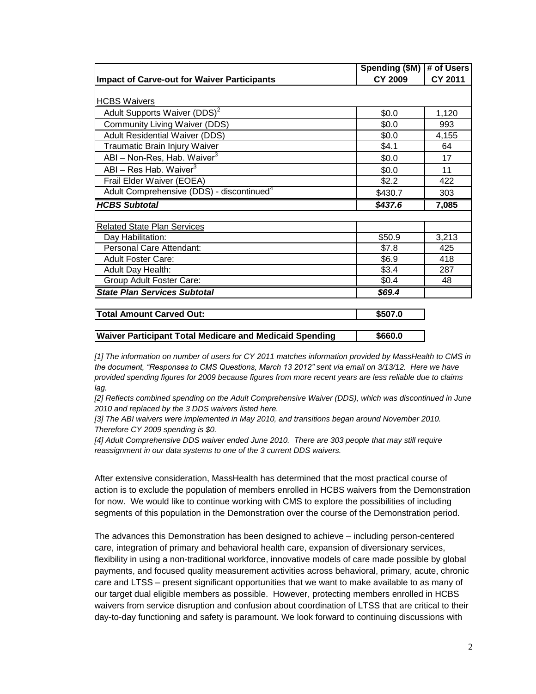|                                                       | Spending (\$M) | # of Users     |
|-------------------------------------------------------|----------------|----------------|
| <b>Impact of Carve-out for Waiver Participants</b>    | <b>CY 2009</b> | <b>CY 2011</b> |
|                                                       |                |                |
| <b>HCBS Waivers</b>                                   |                |                |
| Adult Supports Waiver (DDS) <sup>2</sup>              | \$0.0          | 1,120          |
| <b>Community Living Waiver (DDS)</b>                  | \$0.0          | 993            |
| <b>Adult Residential Waiver (DDS)</b>                 | \$0.0          | 4,155          |
| Traumatic Brain Injury Waiver                         | \$4.1          | 64             |
| ABI - Non-Res, Hab. Waiver <sup>3</sup>               | \$0.0          | 17             |
| ABI - Res Hab. Waiver <sup>3</sup>                    | \$0.0          | 11             |
| Frail Elder Waiver (EOEA)                             | \$2.2          | 422            |
| Adult Comprehensive (DDS) - discontinued <sup>4</sup> | \$430.7        | 303            |
| <b>HCBS Subtotal</b>                                  | \$437.6        | 7,085          |
|                                                       |                |                |
| <b>Related State Plan Services</b>                    |                |                |
| Day Habilitation:                                     | \$50.9         | 3,213          |
| Personal Care Attendant:                              | \$7.8          | 425            |
| <b>Adult Foster Care:</b>                             | \$6.9          | 418            |
| Adult Day Health:                                     | \$3.4          | 287            |
| Group Adult Foster Care:                              | \$0.4          | 48             |
| <b>State Plan Services Subtotal</b>                   | \$69.4         |                |
|                                                       | $+ - - - -$    |                |

| <b>Total Amount Carved Out:</b>                         | \$507.0 |
|---------------------------------------------------------|---------|
|                                                         |         |
| Waiver Participant Total Medicare and Medicaid Spending | \$660.0 |

*[1] The information on number of users for CY 2011 matches information provided by MassHealth to CMS in the document, "Responses to CMS Questions, March 13 2012" sent via email on 3/13/12. Here we have provided spending figures for 2009 because figures from more recent years are less reliable due to claims lag.* 

*[2] Reflects combined spending on the Adult Comprehensive Waiver (DDS), which was discontinued in June 2010 and replaced by the 3 DDS waivers listed here.*

*[3] The ABI waivers were implemented in May 2010, and transitions began around November 2010. Therefore CY 2009 spending is \$0.*

*[4] Adult Comprehensive DDS waiver ended June 2010. There are 303 people that may still require reassignment in our data systems to one of the 3 current DDS waivers.*

After extensive consideration, MassHealth has determined that the most practical course of action is to exclude the population of members enrolled in HCBS waivers from the Demonstration for now. We would like to continue working with CMS to explore the possibilities of including segments of this population in the Demonstration over the course of the Demonstration period.

The advances this Demonstration has been designed to achieve – including person-centered care, integration of primary and behavioral health care, expansion of diversionary services, flexibility in using a non-traditional workforce, innovative models of care made possible by global payments, and focused quality measurement activities across behavioral, primary, acute, chronic care and LTSS – present significant opportunities that we want to make available to as many of our target dual eligible members as possible. However, protecting members enrolled in HCBS waivers from service disruption and confusion about coordination of LTSS that are critical to their day-to-day functioning and safety is paramount. We look forward to continuing discussions with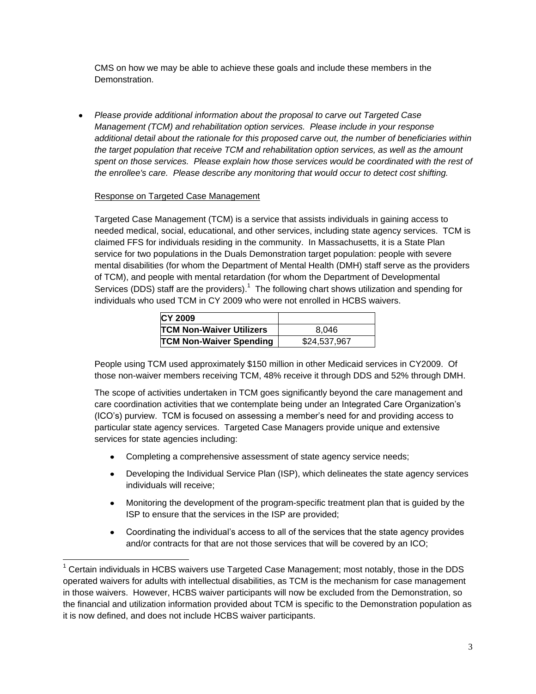CMS on how we may be able to achieve these goals and include these members in the Demonstration.

*Please provide additional information about the proposal to carve out Targeted Case Management (TCM) and rehabilitation option services. Please include in your response additional detail about the rationale for this proposed carve out, the number of beneficiaries within the target population that receive TCM and rehabilitation option services, as well as the amount spent on those services. Please explain how those services would be coordinated with the rest of the enrollee's care. Please describe any monitoring that would occur to detect cost shifting.*

# Response on Targeted Case Management

 $\overline{\phantom{a}}$ 

Targeted Case Management (TCM) is a service that assists individuals in gaining access to needed medical, social, educational, and other services, including state agency services. TCM is claimed FFS for individuals residing in the community. In Massachusetts, it is a State Plan service for two populations in the Duals Demonstration target population: people with severe mental disabilities (for whom the Department of Mental Health (DMH) staff serve as the providers of TCM), and people with mental retardation (for whom the Department of Developmental Services (DDS) staff are the providers).<sup>1</sup> The following chart shows utilization and spending for individuals who used TCM in CY 2009 who were not enrolled in HCBS waivers.

| <b>CY 2009</b>                  |              |
|---------------------------------|--------------|
| <b>TCM Non-Waiver Utilizers</b> | 8.046        |
| <b>TCM Non-Waiver Spending</b>  | \$24,537,967 |

People using TCM used approximately \$150 million in other Medicaid services in CY2009. Of those non-waiver members receiving TCM, 48% receive it through DDS and 52% through DMH.

The scope of activities undertaken in TCM goes significantly beyond the care management and care coordination activities that we contemplate being under an Integrated Care Organization's (ICO's) purview. TCM is focused on assessing a member's need for and providing access to particular state agency services. Targeted Case Managers provide unique and extensive services for state agencies including:

- Completing a comprehensive assessment of state agency service needs;  $\bullet$
- Developing the Individual Service Plan (ISP), which delineates the state agency services  $\bullet$ individuals will receive;
- $\bullet$ Monitoring the development of the program-specific treatment plan that is guided by the ISP to ensure that the services in the ISP are provided;
- Coordinating the individual's access to all of the services that the state agency provides  $\bullet$ and/or contracts for that are not those services that will be covered by an ICO;

 $1$  Certain individuals in HCBS waivers use Targeted Case Management; most notably, those in the DDS operated waivers for adults with intellectual disabilities, as TCM is the mechanism for case management in those waivers. However, HCBS waiver participants will now be excluded from the Demonstration, so the financial and utilization information provided about TCM is specific to the Demonstration population as it is now defined, and does not include HCBS waiver participants.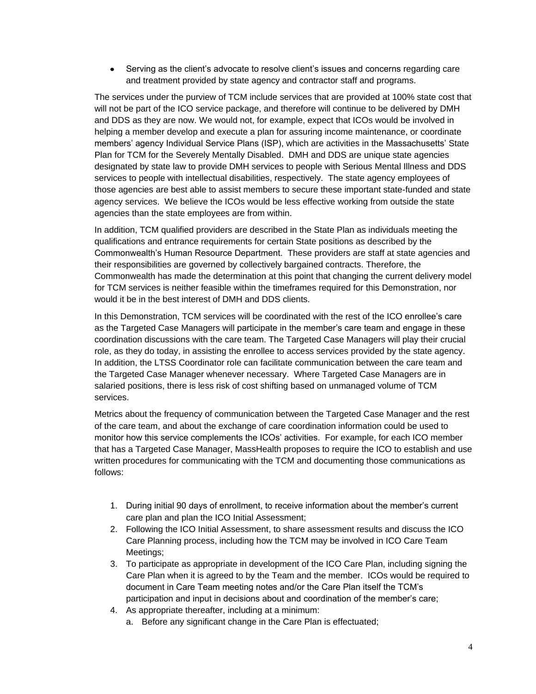Serving as the client's advocate to resolve client's issues and concerns regarding care and treatment provided by state agency and contractor staff and programs.

The services under the purview of TCM include services that are provided at 100% state cost that will not be part of the ICO service package, and therefore will continue to be delivered by DMH and DDS as they are now. We would not, for example, expect that ICOs would be involved in helping a member develop and execute a plan for assuring income maintenance, or coordinate members' agency Individual Service Plans (ISP), which are activities in the Massachusetts' State Plan for TCM for the Severely Mentally Disabled. DMH and DDS are unique state agencies designated by state law to provide DMH services to people with Serious Mental Illness and DDS services to people with intellectual disabilities, respectively. The state agency employees of those agencies are best able to assist members to secure these important state-funded and state agency services. We believe the ICOs would be less effective working from outside the state agencies than the state employees are from within.

In addition, TCM qualified providers are described in the State Plan as individuals meeting the qualifications and entrance requirements for certain State positions as described by the Commonwealth's Human Resource Department. These providers are staff at state agencies and their responsibilities are governed by collectively bargained contracts. Therefore, the Commonwealth has made the determination at this point that changing the current delivery model for TCM services is neither feasible within the timeframes required for this Demonstration, nor would it be in the best interest of DMH and DDS clients.

In this Demonstration, TCM services will be coordinated with the rest of the ICO enrollee's care as the Targeted Case Managers will participate in the member's care team and engage in these coordination discussions with the care team. The Targeted Case Managers will play their crucial role, as they do today, in assisting the enrollee to access services provided by the state agency. In addition, the LTSS Coordinator role can facilitate communication between the care team and the Targeted Case Manager whenever necessary. Where Targeted Case Managers are in salaried positions, there is less risk of cost shifting based on unmanaged volume of TCM services.

Metrics about the frequency of communication between the Targeted Case Manager and the rest of the care team, and about the exchange of care coordination information could be used to monitor how this service complements the ICOs' activities. For example, for each ICO member that has a Targeted Case Manager, MassHealth proposes to require the ICO to establish and use written procedures for communicating with the TCM and documenting those communications as follows:

- 1. During initial 90 days of enrollment, to receive information about the member's current care plan and plan the ICO Initial Assessment;
- 2. Following the ICO Initial Assessment, to share assessment results and discuss the ICO Care Planning process, including how the TCM may be involved in ICO Care Team Meetings;
- 3. To participate as appropriate in development of the ICO Care Plan, including signing the Care Plan when it is agreed to by the Team and the member. ICOs would be required to document in Care Team meeting notes and/or the Care Plan itself the TCM's participation and input in decisions about and coordination of the member's care;
- 4. As appropriate thereafter, including at a minimum:
	- a. Before any significant change in the Care Plan is effectuated;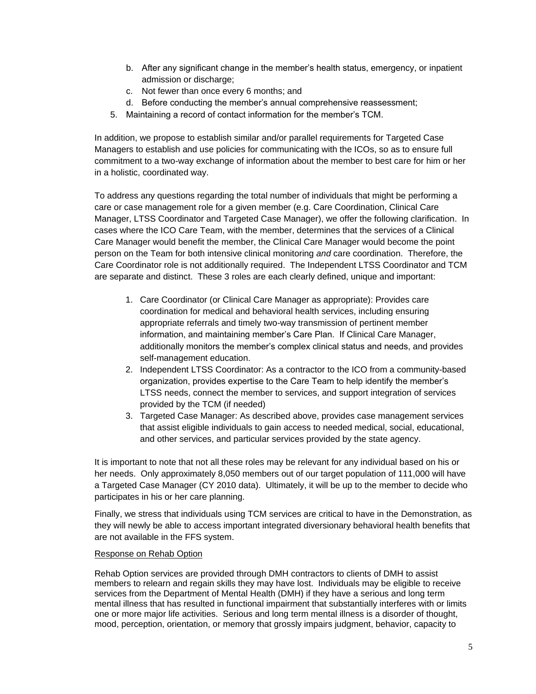- b. After any significant change in the member's health status, emergency, or inpatient admission or discharge;
- c. Not fewer than once every 6 months; and
- d. Before conducting the member's annual comprehensive reassessment;
- 5. Maintaining a record of contact information for the member's TCM.

In addition, we propose to establish similar and/or parallel requirements for Targeted Case Managers to establish and use policies for communicating with the ICOs, so as to ensure full commitment to a two-way exchange of information about the member to best care for him or her in a holistic, coordinated way.

To address any questions regarding the total number of individuals that might be performing a care or case management role for a given member (e.g. Care Coordination, Clinical Care Manager, LTSS Coordinator and Targeted Case Manager), we offer the following clarification. In cases where the ICO Care Team, with the member, determines that the services of a Clinical Care Manager would benefit the member, the Clinical Care Manager would become the point person on the Team for both intensive clinical monitoring *and* care coordination. Therefore, the Care Coordinator role is not additionally required. The Independent LTSS Coordinator and TCM are separate and distinct. These 3 roles are each clearly defined, unique and important:

- 1. Care Coordinator (or Clinical Care Manager as appropriate): Provides care coordination for medical and behavioral health services, including ensuring appropriate referrals and timely two-way transmission of pertinent member information, and maintaining member's Care Plan. If Clinical Care Manager, additionally monitors the member's complex clinical status and needs, and provides self-management education.
- 2. Independent LTSS Coordinator: As a contractor to the ICO from a community-based organization, provides expertise to the Care Team to help identify the member's LTSS needs, connect the member to services, and support integration of services provided by the TCM (if needed)
- 3. Targeted Case Manager: As described above, provides case management services that assist eligible individuals to gain access to needed medical, social, educational, and other services, and particular services provided by the state agency.

It is important to note that not all these roles may be relevant for any individual based on his or her needs. Only approximately 8,050 members out of our target population of 111,000 will have a Targeted Case Manager (CY 2010 data). Ultimately, it will be up to the member to decide who participates in his or her care planning.

Finally, we stress that individuals using TCM services are critical to have in the Demonstration, as they will newly be able to access important integrated diversionary behavioral health benefits that are not available in the FFS system.

#### Response on Rehab Option

Rehab Option services are provided through DMH contractors to clients of DMH to assist members to relearn and regain skills they may have lost. Individuals may be eligible to receive services from the Department of Mental Health (DMH) if they have a serious and long term mental illness that has resulted in functional impairment that substantially interferes with or limits one or more major life activities. Serious and long term mental illness is a disorder of thought, mood, perception, orientation, or memory that grossly impairs judgment, behavior, capacity to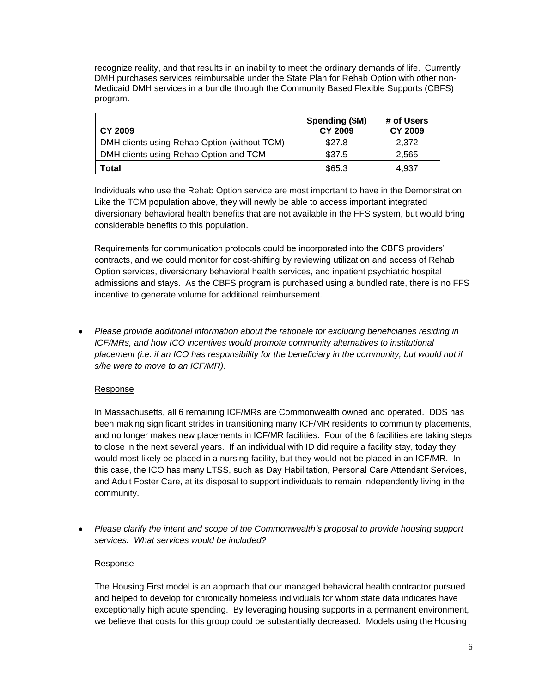recognize reality, and that results in an inability to meet the ordinary demands of life. Currently DMH purchases services reimbursable under the State Plan for Rehab Option with other non-Medicaid DMH services in a bundle through the Community Based Flexible Supports (CBFS) program.

| <b>CY 2009</b>                               | Spending (\$M)<br><b>CY 2009</b> | # of Users<br><b>CY 2009</b> |
|----------------------------------------------|----------------------------------|------------------------------|
| DMH clients using Rehab Option (without TCM) | \$27.8                           | 2.372                        |
| DMH clients using Rehab Option and TCM       | \$37.5                           | 2,565                        |
| Total                                        | \$65.3                           | 4.937                        |

Individuals who use the Rehab Option service are most important to have in the Demonstration. Like the TCM population above, they will newly be able to access important integrated diversionary behavioral health benefits that are not available in the FFS system, but would bring considerable benefits to this population.

Requirements for communication protocols could be incorporated into the CBFS providers' contracts, and we could monitor for cost-shifting by reviewing utilization and access of Rehab Option services, diversionary behavioral health services, and inpatient psychiatric hospital admissions and stays. As the CBFS program is purchased using a bundled rate, there is no FFS incentive to generate volume for additional reimbursement.

*Please provide additional information about the rationale for excluding beneficiaries residing in ICF/MRs, and how ICO incentives would promote community alternatives to institutional* placement (i.e. if an ICO has responsibility for the beneficiary in the community, but would not if *s/he were to move to an ICF/MR).*

# Response

In Massachusetts, all 6 remaining ICF/MRs are Commonwealth owned and operated. DDS has been making significant strides in transitioning many ICF/MR residents to community placements, and no longer makes new placements in ICF/MR facilities. Four of the 6 facilities are taking steps to close in the next several years. If an individual with ID did require a facility stay, today they would most likely be placed in a nursing facility, but they would not be placed in an ICF/MR. In this case, the ICO has many LTSS, such as Day Habilitation, Personal Care Attendant Services, and Adult Foster Care, at its disposal to support individuals to remain independently living in the community.

*Please clarify the intent and scope of the Commonwealth's proposal to provide housing support services. What services would be included?*

# Response

The Housing First model is an approach that our managed behavioral health contractor pursued and helped to develop for chronically homeless individuals for whom state data indicates have exceptionally high acute spending. By leveraging housing supports in a permanent environment, we believe that costs for this group could be substantially decreased. Models using the Housing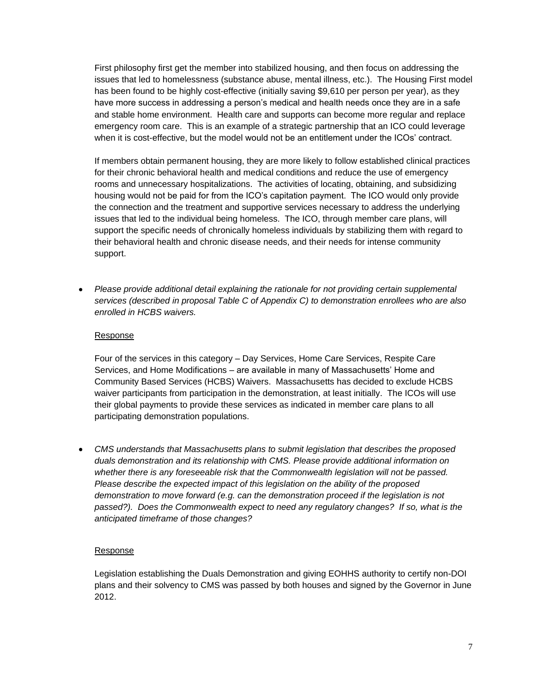First philosophy first get the member into stabilized housing, and then focus on addressing the issues that led to homelessness (substance abuse, mental illness, etc.). The Housing First model has been found to be highly cost-effective (initially saving \$9,610 per person per year), as they have more success in addressing a person's medical and health needs once they are in a safe and stable home environment. Health care and supports can become more regular and replace emergency room care. This is an example of a strategic partnership that an ICO could leverage when it is cost-effective, but the model would not be an entitlement under the ICOs' contract.

If members obtain permanent housing, they are more likely to follow established clinical practices for their chronic behavioral health and medical conditions and reduce the use of emergency rooms and unnecessary hospitalizations. The activities of locating, obtaining, and subsidizing housing would not be paid for from the ICO's capitation payment. The ICO would only provide the connection and the treatment and supportive services necessary to address the underlying issues that led to the individual being homeless. The ICO, through member care plans, will support the specific needs of chronically homeless individuals by stabilizing them with regard to their behavioral health and chronic disease needs, and their needs for intense community support.

*Please provide additional detail explaining the rationale for not providing certain supplemental services (described in proposal Table C of Appendix C) to demonstration enrollees who are also enrolled in HCBS waivers.* 

# Response

Four of the services in this category – Day Services, Home Care Services, Respite Care Services, and Home Modifications – are available in many of Massachusetts' Home and Community Based Services (HCBS) Waivers. Massachusetts has decided to exclude HCBS waiver participants from participation in the demonstration, at least initially. The ICOs will use their global payments to provide these services as indicated in member care plans to all participating demonstration populations.

*CMS understands that Massachusetts plans to submit legislation that describes the proposed duals demonstration and its relationship with CMS. Please provide additional information on whether there is any foreseeable risk that the Commonwealth legislation will not be passed. Please describe the expected impact of this legislation on the ability of the proposed demonstration to move forward (e.g. can the demonstration proceed if the legislation is not passed?). Does the Commonwealth expect to need any regulatory changes? If so, what is the anticipated timeframe of those changes?*

# Response

Legislation establishing the Duals Demonstration and giving EOHHS authority to certify non-DOI plans and their solvency to CMS was passed by both houses and signed by the Governor in June 2012.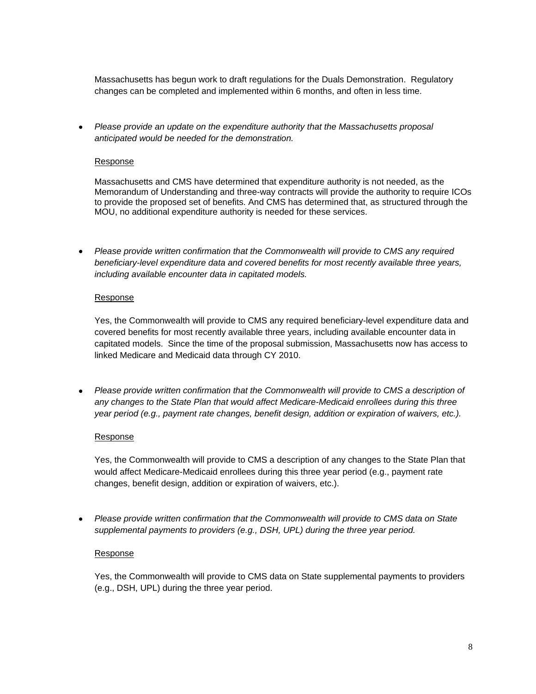Massachusetts has begun work to draft regulations for the Duals Demonstration. Regulatory changes can be completed and implemented within 6 months, and often in less time.

*Please provide an update on the expenditure authority that the Massachusetts proposal anticipated would be needed for the demonstration.*

#### Response

Massachusetts and CMS have determined that expenditure authority is not needed, as the Memorandum of Understanding and three-way contracts will provide the authority to require ICOs to provide the proposed set of benefits. And CMS has determined that, as structured through the MOU, no additional expenditure authority is needed for these services.

*Please provide written confirmation that the Commonwealth will provide to CMS any required*   $\bullet$ *beneficiary-level expenditure data and covered benefits for most recently available three years, including available encounter data in capitated models.*

### Response

Yes, the Commonwealth will provide to CMS any required beneficiary-level expenditure data and covered benefits for most recently available three years, including available encounter data in capitated models. Since the time of the proposal submission, Massachusetts now has access to linked Medicare and Medicaid data through CY 2010.

*Please provide written confirmation that the Commonwealth will provide to CMS a description of any changes to the State Plan that would affect Medicare-Medicaid enrollees during this three year period (e.g., payment rate changes, benefit design, addition or expiration of waivers, etc.).*

# Response

Yes, the Commonwealth will provide to CMS a description of any changes to the State Plan that would affect Medicare-Medicaid enrollees during this three year period (e.g., payment rate changes, benefit design, addition or expiration of waivers, etc.).

*Please provide written confirmation that the Commonwealth will provide to CMS data on State supplemental payments to providers (e.g., DSH, UPL) during the three year period.*

# Response

Yes, the Commonwealth will provide to CMS data on State supplemental payments to providers (e.g., DSH, UPL) during the three year period.